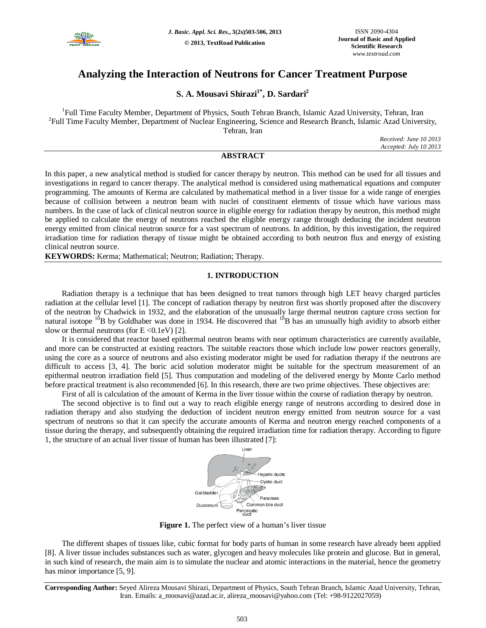

# **Analyzing the Interaction of Neutrons for Cancer Treatment Purpose**

## **S. A. Mousavi Shirazi1\* , D. Sardari<sup>2</sup>**

<sup>1</sup>Full Time Faculty Member, Department of Physics, South Tehran Branch, Islamic Azad University, Tehran, Iran <sup>2</sup>Full Time Faculty Member, Department of Nuclear Engineering, Science and Research Branch, Islamic Azad University, Tehran, Iran

*Received: June 10 2013 Accepted: July 10 2013*

### **ABSTRACT**

In this paper, a new analytical method is studied for cancer therapy by neutron. This method can be used for all tissues and investigations in regard to cancer therapy. The analytical method is considered using mathematical equations and computer programming. The amounts of Kerma are calculated by mathematical method in a liver tissue for a wide range of energies because of collision between a neutron beam with nuclei of constituent elements of tissue which have various mass numbers. In the case of lack of clinical neutron source in eligible energy for radiation therapy by neutron, this method might be applied to calculate the energy of neutrons reached the eligible energy range through deducing the incident neutron energy emitted from clinical neutron source for a vast spectrum of neutrons. In addition, by this investigation, the required irradiation time for radiation therapy of tissue might be obtained according to both neutron flux and energy of existing clinical neutron source.

**KEYWORDS:** Kerma; Mathematical; Neutron; Radiation; Therapy.

#### **1. INTRODUCTION**

Radiation therapy is a technique that has been designed to treat tumors through high LET heavy charged particles radiation at the cellular level [1]. The concept of radiation therapy by neutron first was shortly proposed after the discovery of the neutron by Chadwick in 1932, and the elaboration of the unusually large thermal neutron capture cross section for natural isotope  $^{10}$ B by Goldhaber was done in 1934. He discovered that  $^{10}$ B has an unusually high avidity to absorb either slow or thermal neutrons (for  $E \le 0.1$ eV) [2].

It is considered that reactor based epithermal neutron beams with near optimum characteristics are currently available, and more can be constructed at existing reactors. The suitable reactors those which include low power reactors generally, using the core as a source of neutrons and also existing moderator might be used for radiation therapy if the neutrons are difficult to access [3, 4]. The boric acid solution moderator might be suitable for the spectrum measurement of an epithermal neutron irradiation field [5]. Thus computation and modeling of the delivered energy by Monte Carlo method before practical treatment is also recommended [6]. In this research, there are two prime objectives. These objectives are:

First of all is calculation of the amount of Kerma in the liver tissue within the course of radiation therapy by neutron.

The second objective is to find out a way to reach eligible energy range of neutrons according to desired dose in radiation therapy and also studying the deduction of incident neutron energy emitted from neutron source for a vast spectrum of neutrons so that it can specify the accurate amounts of Kerma and neutron energy reached components of a tissue during the therapy, and subsequently obtaining the required irradiation time for radiation therapy. According to figure 1, the structure of an actual liver tissue of human has been illustrated [7]:



**Figure 1.** The perfect view of a human's liver tissue

The different shapes of tissues like, cubic format for body parts of human in some research have already been applied [8]. A liver tissue includes substances such as water, glycogen and heavy molecules like protein and glucose. But in general, in such kind of research, the main aim is to simulate the nuclear and atomic interactions in the material, hence the geometry has minor importance [5, 9].

**Corresponding Author:** Seyed Alireza Mousavi Shirazi, Department of Physics, South Tehran Branch, Islamic Azad University, Tehran, Iran. Emails: a\_moosavi@azad.ac.ir, alireza\_moosavi@yahoo.com (Tel: +98-9122027059)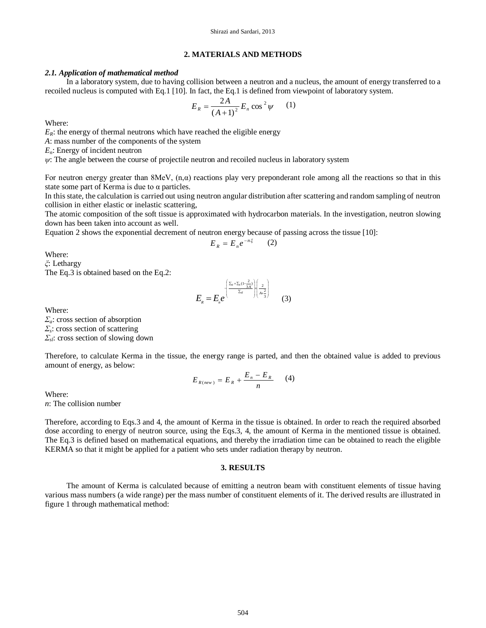#### **2. MATERIALS AND METHODS**

#### *2.1. Application of mathematical method*

In a laboratory system, due to having collision between a neutron and a nucleus, the amount of energy transferred to a recoiled nucleus is computed with Eq.1 [10]. In fact, the Eq.1 is defined from viewpoint of laboratory system.

$$
E_R = \frac{2A}{(A+1)^2} E_n \cos^2 \psi \qquad (1)
$$

Where:

 $E_R$ : the energy of thermal neutrons which have reached the eligible energy

*A*: mass number of the components of the system

*En*: Energy of incident neutron

*ψ*: The angle between the course of projectile neutron and recoiled nucleus in laboratory system

For neutron energy greater than  $8MeV$ ,  $(n, \alpha)$  reactions play very preponderant role among all the reactions so that in this state some part of Kerma is due to  $\alpha$  particles.

In this state, the calculation is carried out using neutron angular distribution after scattering and random sampling of neutron collision in either elastic or inelastic scattering,

The atomic composition of the soft tissue is approximated with hydrocarbon materials. In the investigation, neutron slowing down has been taken into account as well.

Equation 2 shows the exponential decrement of neutron energy because of passing across the tissue [10]:

$$
E_R = E_n e^{-n\xi} \qquad (2)
$$

Where:

*ξ*: Lethargy

The Eq.3 is obtained based on the Eq.2:

$$
E_{\scriptscriptstyle R} = E_{\scriptscriptstyle R} e^{\left[\frac{\sum_{\scriptscriptstyle a} + \sum_{\scriptscriptstyle s}(1-\frac{2}{3A})}{\sum_{\scriptscriptstyle a'}\left|\frac{2}{A+\frac{2}{3}}\right|}\right]}
$$
 (3)

Where:

*Σa*: cross section of absorption *Σs* : cross section of scattering *Σsl*: cross section of slowing down

Therefore, to calculate Kerma in the tissue, the energy range is parted, and then the obtained value is added to previous amount of energy, as below:

$$
E_{R(new)} = E_R + \frac{E_n - E_R}{n} \qquad (4)
$$

Where: *n*: The collision number

Therefore, according to Eqs.3 and 4, the amount of Kerma in the tissue is obtained. In order to reach the required absorbed dose according to energy of neutron source, using the Eqs.3, 4, the amount of Kerma in the mentioned tissue is obtained. The Eq.3 is defined based on mathematical equations, and thereby the irradiation time can be obtained to reach the eligible KERMA so that it might be applied for a patient who sets under radiation therapy by neutron.

#### **3. RESULTS**

The amount of Kerma is calculated because of emitting a neutron beam with constituent elements of tissue having various mass numbers (a wide range) per the mass number of constituent elements of it. The derived results are illustrated in figure 1 through mathematical method: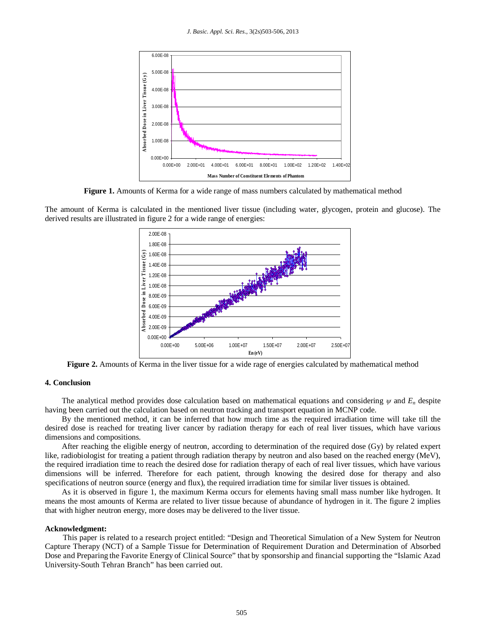

**Figure 1.** Amounts of Kerma for a wide range of mass numbers calculated by mathematical method

The amount of Kerma is calculated in the mentioned liver tissue (including water, glycogen, protein and glucose). The derived results are illustrated in figure 2 for a wide range of energies:



**Figure 2.** Amounts of Kerma in the liver tissue for a wide rage of energies calculated by mathematical method

#### **4. Conclusion**

The analytical method provides dose calculation based on mathematical equations and considering  $\psi$  and  $E_n$  despite having been carried out the calculation based on neutron tracking and transport equation in MCNP code.

By the mentioned method, it can be inferred that how much time as the required irradiation time will take till the desired dose is reached for treating liver cancer by radiation therapy for each of real liver tissues, which have various dimensions and compositions.

After reaching the eligible energy of neutron, according to determination of the required dose (Gy) by related expert like, radiobiologist for treating a patient through radiation therapy by neutron and also based on the reached energy (MeV), the required irradiation time to reach the desired dose for radiation therapy of each of real liver tissues, which have various dimensions will be inferred. Therefore for each patient, through knowing the desired dose for therapy and also specifications of neutron source (energy and flux), the required irradiation time for similar liver tissues is obtained.

As it is observed in figure 1, the maximum Kerma occurs for elements having small mass number like hydrogen. It means the most amounts of Kerma are related to liver tissue because of abundance of hydrogen in it. The figure 2 implies that with higher neutron energy, more doses may be delivered to the liver tissue.

#### **Acknowledgment:**

This paper is related to a research project entitled: "Design and Theoretical Simulation of a New System for Neutron Capture Therapy (NCT) of a Sample Tissue for Determination of Requirement Duration and Determination of Absorbed Dose and Preparing the Favorite Energy of Clinical Source" that by sponsorship and financial supporting the "Islamic Azad University-South Tehran Branch" has been carried out.